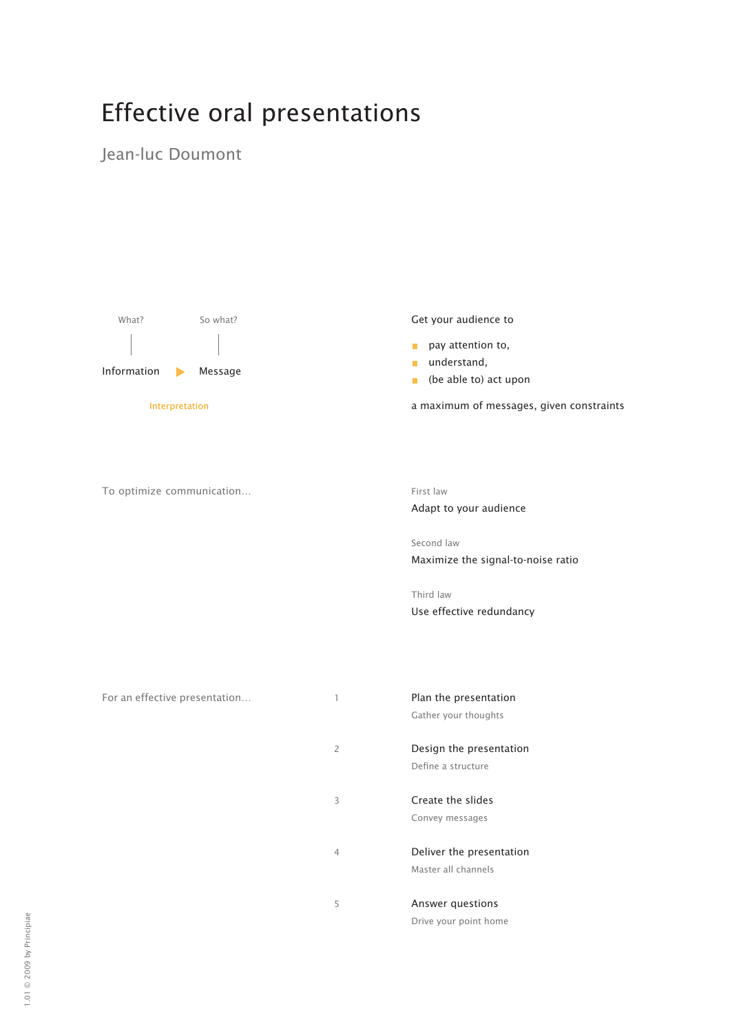# Effective oral presentations

### Jean-luc Doumont



Get your audience to

- $\blacksquare$  pay attention to,
- understand,
- **b** (be able to) act upon

a maximum of messages, given constraints



Adapt to your audience

Second law Maximize the signal-to-noise ratio

Third law Use effective redundancy

Gather your thoughts

2 Design the presentation Define a structure

3 Create the slides Convey messages

4 Deliver the presentation Master all channels

5 Answer questions Drive your point home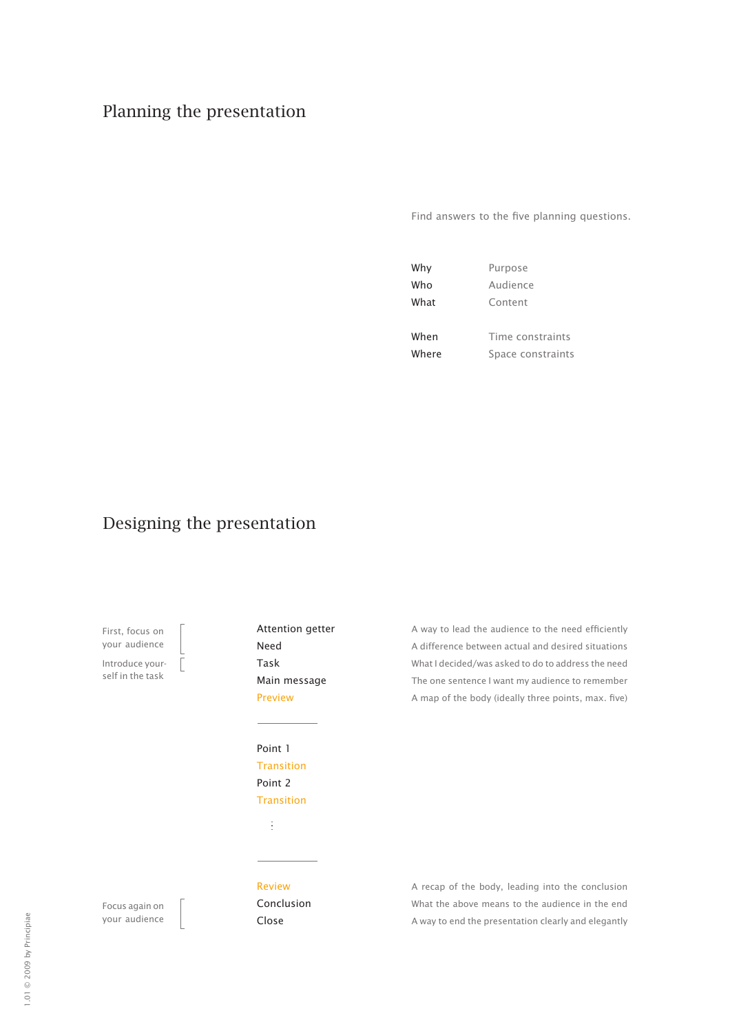# Planning the presentation

Find answers to the five planning questions.

| Why   | Purpose           |  |
|-------|-------------------|--|
| Who   | Audience          |  |
| What  | Content           |  |
|       |                   |  |
| When  | Time constraints  |  |
| Where | Space constraints |  |

# Designing the presentation

First, focus on your audience Introduce your-

self in the task

Attention getter Need Task Main message Preview

Point 1 **Transition** Point 2 Transition

ă

A way to lead the audience to the need efficiently A difference between actual and desired situations What I decided/was asked to do to address the need The one sentence I want my audience to remember A map of the body (ideally three points, max. five)

Focus again on your audience Review Conclusion Close

A recap of the body, leading into the conclusion What the above means to the audience in the end A way to end the presentation clearly and elegantly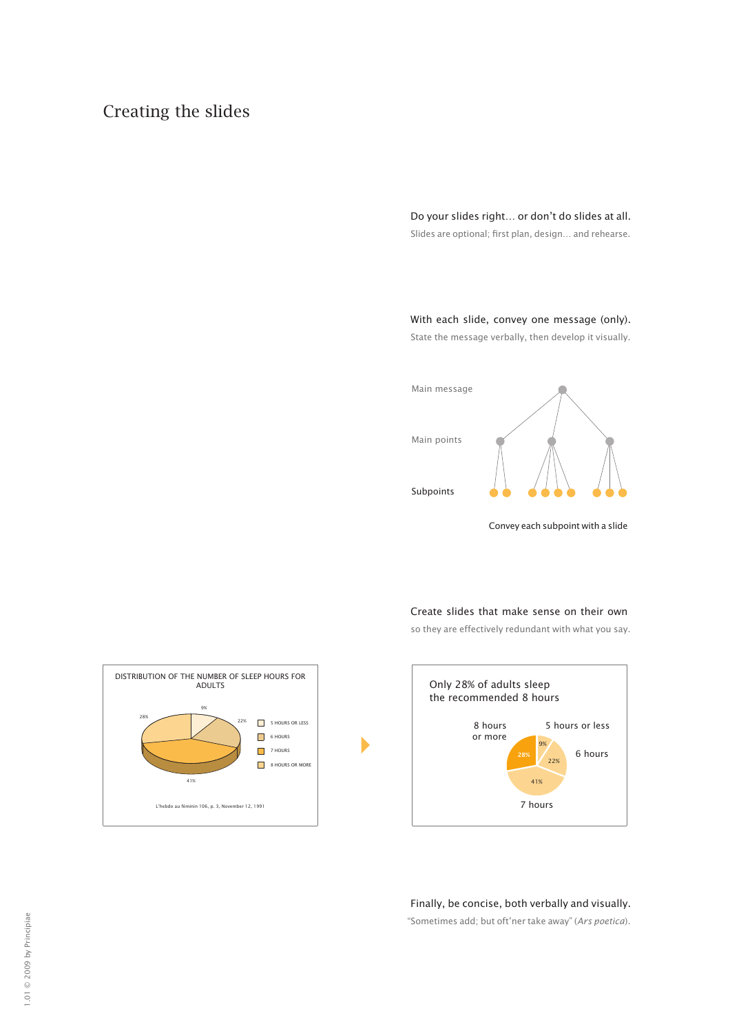# Creating the slides

Do your slides right… or don't do slides at all.

Slides are optional; first plan, design… and rehearse.

With each slide, convey one message (only). State the message verbally, then develop it visually.

Main message

Main points

Subpoints



Convey each subpoint with a slide

Create slides that make sense on their own

so they are effectively redundant with what you say.





Finally, be concise, both verbally and visually.

"Sometimes add; but oft'ner take away" (*Ars poetica*).